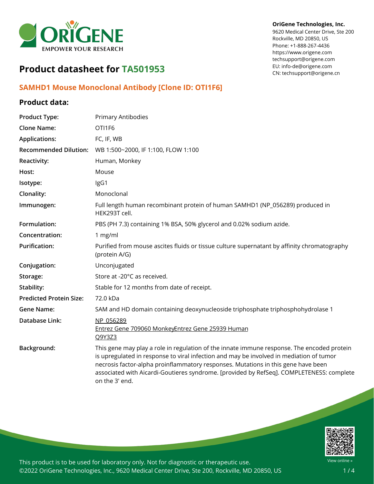

#### **OriGene Technologies, Inc.**

9620 Medical Center Drive, Ste 200 Rockville, MD 20850, US Phone: +1-888-267-4436 https://www.origene.com techsupport@origene.com EU: info-de@origene.com CN: techsupport@origene.cn

# **Product datasheet for TA501953**

## **SAMHD1 Mouse Monoclonal Antibody [Clone ID: OTI1F6]**

## **Product data:**

| <b>Product Type:</b>           | <b>Primary Antibodies</b>                                                                                                                                                                                                                                                                                                                                                                |
|--------------------------------|------------------------------------------------------------------------------------------------------------------------------------------------------------------------------------------------------------------------------------------------------------------------------------------------------------------------------------------------------------------------------------------|
| <b>Clone Name:</b>             | OTI1F6                                                                                                                                                                                                                                                                                                                                                                                   |
| <b>Applications:</b>           | FC, IF, WB                                                                                                                                                                                                                                                                                                                                                                               |
| <b>Recommended Dilution:</b>   | WB 1:500~2000, IF 1:100, FLOW 1:100                                                                                                                                                                                                                                                                                                                                                      |
| Reactivity:                    | Human, Monkey                                                                                                                                                                                                                                                                                                                                                                            |
| Host:                          | Mouse                                                                                                                                                                                                                                                                                                                                                                                    |
| Isotype:                       | IgG1                                                                                                                                                                                                                                                                                                                                                                                     |
| Clonality:                     | Monoclonal                                                                                                                                                                                                                                                                                                                                                                               |
| Immunogen:                     | Full length human recombinant protein of human SAMHD1 (NP_056289) produced in<br>HEK293T cell.                                                                                                                                                                                                                                                                                           |
| Formulation:                   | PBS (PH 7.3) containing 1% BSA, 50% glycerol and 0.02% sodium azide.                                                                                                                                                                                                                                                                                                                     |
| Concentration:                 | 1 mg/ml                                                                                                                                                                                                                                                                                                                                                                                  |
| <b>Purification:</b>           | Purified from mouse ascites fluids or tissue culture supernatant by affinity chromatography<br>(protein A/G)                                                                                                                                                                                                                                                                             |
| Conjugation:                   | Unconjugated                                                                                                                                                                                                                                                                                                                                                                             |
| Storage:                       | Store at -20°C as received.                                                                                                                                                                                                                                                                                                                                                              |
| Stability:                     | Stable for 12 months from date of receipt.                                                                                                                                                                                                                                                                                                                                               |
| <b>Predicted Protein Size:</b> | 72.0 kDa                                                                                                                                                                                                                                                                                                                                                                                 |
| <b>Gene Name:</b>              | SAM and HD domain containing deoxynucleoside triphosphate triphosphohydrolase 1                                                                                                                                                                                                                                                                                                          |
| Database Link:                 | NP 056289<br>Entrez Gene 709060 MonkeyEntrez Gene 25939 Human<br>Q9Y3Z3                                                                                                                                                                                                                                                                                                                  |
| Background:                    | This gene may play a role in regulation of the innate immune response. The encoded protein<br>is upregulated in response to viral infection and may be involved in mediation of tumor<br>necrosis factor-alpha proinflammatory responses. Mutations in this gene have been<br>associated with Aicardi-Goutieres syndrome. [provided by RefSeq]. COMPLETENESS: complete<br>on the 3' end. |



This product is to be used for laboratory only. Not for diagnostic or therapeutic use. ©2022 OriGene Technologies, Inc., 9620 Medical Center Drive, Ste 200, Rockville, MD 20850, US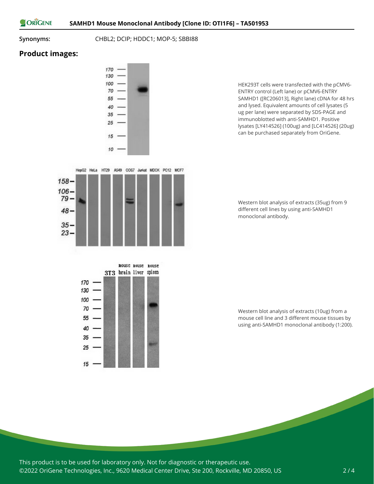ORIGENE

**Synonyms:** CHBL2; DCIP; HDDC1; MOP-5; SBBI88

## **Product images:**

 $158 106 79 48 -$ 

> $35 23 -$



HepG2 HeLa HT29 A549 COS7 Jurkat MDCK PC12 MCF7

HEK293T cells were transfected with the pCMV6- ENTRY control (Left lane) or pCMV6-ENTRY SAMHD1 ([RC206013], Right lane) cDNA for 48 hrs and lysed. Equivalent amounts of cell lysates (5 ug per lane) were separated by SDS-PAGE and immunoblotted with anti-SAMHD1. Positive lysates [LY414526] (100ug) and [LC414526] (20ug) can be purchased separately from OriGene.

Western blot analysis of extracts (35ug) from 9 different cell lines by using anti-SAMHD1 monoclonal antibody.



Western blot analysis of extracts (10ug) from a mouse cell line and 3 different mouse tissues by using anti-SAMHD1 monoclonal antibody (1:200).

This product is to be used for laboratory only. Not for diagnostic or therapeutic use. ©2022 OriGene Technologies, Inc., 9620 Medical Center Drive, Ste 200, Rockville, MD 20850, US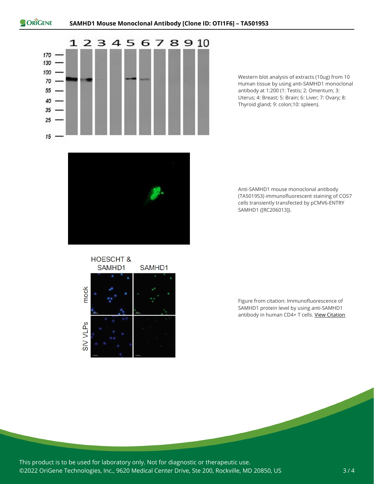

Western blot analysis of extracts (10ug) from 10 Human tissue by using anti-SAMHD1 monoclonal antibody at 1:200 (1: Testis; 2: Omentum; 3: Uterus; 4: Breast; 5: Brain; 6: Liver; 7: Ovary; 8: Thyroid gland; 9: colon;10: spleen).



Anti-SAMHD1 mouse monoclonal antibody (TA501953) immunofluorescent staining of COS7 cells transiently transfected by pCMV6-ENTRY SAMHD1 ([RC206013]).

**HOESCHT &** SAMHD1 SAMHD1 mock **SIV VLPs** 

Figure from citation: Immunofluorescence of SAMHD1 protein level by using anti-SAMHD1 antibody in human CD4+ T cells. View [Citation](http://www.ncbi.nlm.nih.gov/pubmed/24554663)

This product is to be used for laboratory only. Not for diagnostic or therapeutic use. ©2022 OriGene Technologies, Inc., 9620 Medical Center Drive, Ste 200, Rockville, MD 20850, US